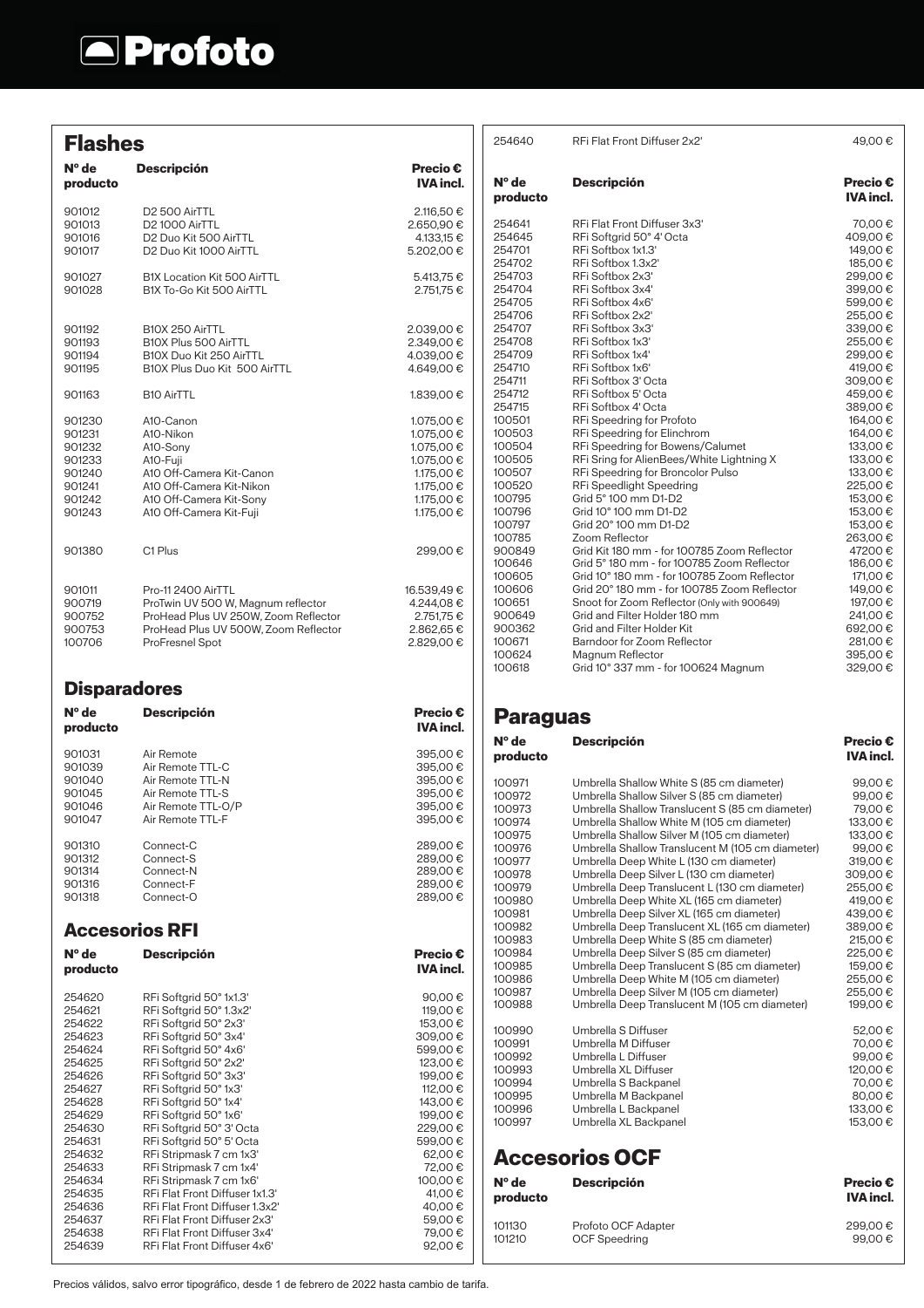## **A**Profoto

|                                                                              | <b>Flashes</b>                                                                                                                                               |                                                                                                              |
|------------------------------------------------------------------------------|--------------------------------------------------------------------------------------------------------------------------------------------------------------|--------------------------------------------------------------------------------------------------------------|
| N° de<br>producto                                                            | <b>Descripción</b>                                                                                                                                           | Precio €<br><b>IVA incl.</b>                                                                                 |
| 901012<br>901013<br>901016<br>901017                                         | D <sub>2</sub> 500 AirTTL<br>D2 1000 AirTTL<br>D <sub>2</sub> Duo Kit 500 AirTTL<br>D <sub>2</sub> Duo Kit 1000 AirTTL                                       | 2.116,50 €<br>2.650,90 €<br>4.133.15 €<br>5.202,00 €                                                         |
| 901027<br>901028                                                             | B1X Location Kit 500 AirTTL<br>B1X To-Go Kit 500 AirTTL                                                                                                      | 5.413,75 €<br>2.751.75 €                                                                                     |
| 901192<br>901193<br>901194<br>901195                                         | B10X 250 AirTTL<br>B10X Plus 500 AirTTL<br>B10X Duo Kit 250 AirTTL<br>B10X Plus Duo Kit 500 AirTTL                                                           | 2.039,00 €<br>2.349,00 €<br>4.039,00 €<br>4.649,00 €                                                         |
| 901163                                                                       | <b>B10 AirTTL</b>                                                                                                                                            | 1.839,00 €                                                                                                   |
| 901230<br>901231<br>901232<br>901233<br>901240<br>901241<br>901242<br>901243 | A10-Canon<br>A10-Nikon<br>A10-Sony<br>A10-Fuji<br>A10 Off-Camera Kit-Canon<br>A10 Off-Camera Kit-Nikon<br>A10 Off-Camera Kit-Sony<br>A10 Off-Camera Kit-Fuji | 1.075,00 €<br>1.075,00 €<br>1.075,00 €<br>1.075.00 €<br>1.175,00 €<br>1.175,00 €<br>1.175,00 €<br>1.175,00 € |
| 901380                                                                       | C1 Plus                                                                                                                                                      | 299,00 €                                                                                                     |
| 901011<br>900719<br>900752<br>900753<br>100706                               | Pro-11 2400 AirTTL<br>ProTwin UV 500 W, Magnum reflector<br>ProHead Plus UV 250W, Zoom Reflector<br>ProHead Plus UV 500W, Zoom Reflector<br>ProFresnel Spot  | 16.539,49 €<br>4.244,08€<br>2.751,75 €<br>2.862,65 €<br>2.829,00 €                                           |
| <b>Disparadores</b>                                                          |                                                                                                                                                              |                                                                                                              |
| $N^{\circ}$ de                                                               | <b>Descripción</b>                                                                                                                                           | <b>Precio €</b>                                                                                              |
| producto                                                                     |                                                                                                                                                              | <b>IVA incl.</b>                                                                                             |
| 901031<br>901039<br>901040<br>901045<br>901046<br>901047                     | Air Remote<br>Air Remote TTL-C<br>Air Remote TTL-N<br>Air Remote TTL-S<br>Air Remote TTL-O/P<br>Air Remote TTL-F                                             | 395,00 €<br>395,00€<br>395,00 €<br>395,00 €<br>395,00€<br>395,00 €                                           |
| 901310<br>901312<br>901314<br>901316<br>901318                               | Connect-C<br>Connect-S<br>Connect-N<br>Connect-F<br>Connect-O                                                                                                | 289,00€<br>289,00 €<br>289,00 €<br>289.00 €<br>289,00€                                                       |
|                                                                              | <b>Accesorios RFI</b>                                                                                                                                        |                                                                                                              |
| N° de<br>producto                                                            | <b>Descripción</b>                                                                                                                                           | Precio €<br><b>IVA</b> incl.                                                                                 |

| 254640            | RFi Flat Front Diffuser 2x2'                | 49,00€                              |
|-------------------|---------------------------------------------|-------------------------------------|
| N° de<br>producto | <b>Descripción</b>                          | <b>Precio €</b><br><b>IVA incl.</b> |
| 254641            | RFi Flat Front Diffuser 3x3'                | 70,00€                              |
| 254645            | RFi Softgrid 50° 4' Octa                    | 409,00€                             |
| 254701            | RFi Softbox 1x1.3'                          | 149,00€                             |
| 254702            | RFi Softbox 1.3x2'                          | 185,00€                             |
| 254703            | RFi Softbox 2x3'                            | 299,00€                             |
| 254704            | RFi Softbox 3x4'                            | 399,00€                             |
| 254705            | RFi Softbox 4x6'                            | 599,00€                             |
| 254706            | RFi Softbox 2x2'                            | 255,00€                             |
| 254707            | RFi Softbox 3x3'                            | 339,00€                             |
| 254708            | RFi Softbox 1x3'                            | 255,00€                             |
| 254709            | RFi Softbox 1x4'                            | 299,00€                             |
| 254710            | RFi Softbox 1x6'                            | 419,00€                             |
| 254711            | RFi Softbox 3' Octa                         | 309,00€                             |
| 254712            | RFi Softbox 5' Octa                         | 459,00€                             |
| 254715            | RFi Softbox 4' Octa                         | 389,00€                             |
| 100501            | RFi Speedring for Profoto                   | 164,00€                             |
| 100503            | RFi Speedring for Elinchrom                 | 164,00€                             |
| 100504            | RFi Speedring for Bowens/Calumet            | 133,00 €                            |
| 100505            | RFi Sring for AlienBees/White Lightning X   | 133,00 €                            |
| 100507            | RFi Speedring for Broncolor Pulso           | 133,00€                             |
| 100520            | RFi Speedlight Speedring                    | 225,00€                             |
| 100795            | Grid 5° 100 mm D1-D2                        | 153,00€                             |
| 100796            | Grid 10° 100 mm D1-D2                       | 153,00€                             |
| 100797            | Grid 20° 100 mm D1-D2                       | 153,00€                             |
| 100785            | Zoom Reflector                              | 263.00 €                            |
| 900849            | Grid Kit 180 mm - for 100785 Zoom Reflector | 47200€                              |
| 100646            | Grid 5° 180 mm - for 100785 Zoom Reflector  | 186,00€                             |
| 100605            | Grid 10° 180 mm - for 100785 Zoom Reflector | 171,00 €                            |
| 100606            | Grid 20°180 mm - for 100785 Zoom Reflector  | 149,00€                             |
| 100651            | Snoot for Zoom Reflector (Only with 900649) | 197.00 €                            |
| 900649            | Grid and Filter Holder 180 mm               | 241,00 €                            |
| 900362            | Grid and Filter Holder Kit                  | 692,00€                             |
| 100671            | Barndoor for Zoom Reflector                 | 281,00 €                            |
| 100624            | Magnum Reflector                            | 395,00€                             |
| 100618            | Grid 10° 337 mm - for 100624 Magnum         | 329,00€                             |
|                   |                                             |                                     |

## **Paraguas**

| $No$ de<br>producto | <b>Descripción</b>                               | <b>Precio €</b><br><b>IVA incl.</b> |
|---------------------|--------------------------------------------------|-------------------------------------|
| 100971              | Umbrella Shallow White S (85 cm diameter)        | 99.00€                              |
| 100972              | Umbrella Shallow Silver S (85 cm diameter)       | 99.00€                              |
| 100973              | Umbrella Shallow Translucent S (85 cm diameter)  | 79,00€                              |
| 100974              | Umbrella Shallow White M (105 cm diameter)       | 133,00 €                            |
| 100975              | Umbrella Shallow Silver M (105 cm diameter)      | 133,00 €                            |
| 100976              | Umbrella Shallow Translucent M (105 cm diameter) | 99,00€                              |
| 100977              | Umbrella Deep White L (130 cm diameter)          | 319,00€                             |
| 100978              | Umbrella Deep Silver L (130 cm diameter)         | 309,00€                             |
| 100979              | Umbrella Deep Translucent L (130 cm diameter)    | 255,00€                             |
| 100980              | Umbrella Deep White XL (165 cm diameter)         | 419,00€                             |
| 100981              | Umbrella Deep Silver XL (165 cm diameter)        | 439.00€                             |
| 100982              | Umbrella Deep Translucent XL (165 cm diameter)   | 389,00€                             |
| 100983              | Umbrella Deep White S (85 cm diameter)           | 215,00 €                            |
| 100984              | Umbrella Deep Silver S (85 cm diameter)          | 225,00€                             |
| 100985              | Umbrella Deep Translucent S (85 cm diameter)     | 159,00€                             |
| 100986              | Umbrella Deep White M (105 cm diameter)          | 255,00€                             |
| 100987              | Umbrella Deep Silver M (105 cm diameter)         | 255,00€                             |
| 100988              | Umbrella Deep Translucent M (105 cm diameter)    | 199,00€                             |
| 100990              | Umbrella S Diffuser                              | 52,00€                              |
| 100991              | Umbrella M Diffuser                              | 70.00€                              |
| 100992              | Umbrella L Diffuser                              | 99,00€                              |
| 100993              | Umbrella XL Diffuser                             | 120,00 €                            |
| 100994              | Umbrella S Backpanel                             | 70,00€                              |
| 100995              | Umbrella M Backpanel                             | 80,00€                              |
| 100996              | Umbrella L Backpanel                             | 133,00 €                            |
| 100997              | Umbrella XL Backpanel                            | 153,00€                             |
|                     | <b>Accesorios OCF</b>                            |                                     |
| $No$ de             | <b>Descripción</b>                               | <b>Precio €</b>                     |
| producto            |                                                  | <b>IVA</b> incl.                    |
| 101130              | Profoto OCF Adapter                              | 299.00€                             |
| 101210              | <b>OCF Speedring</b>                             | 99,00€                              |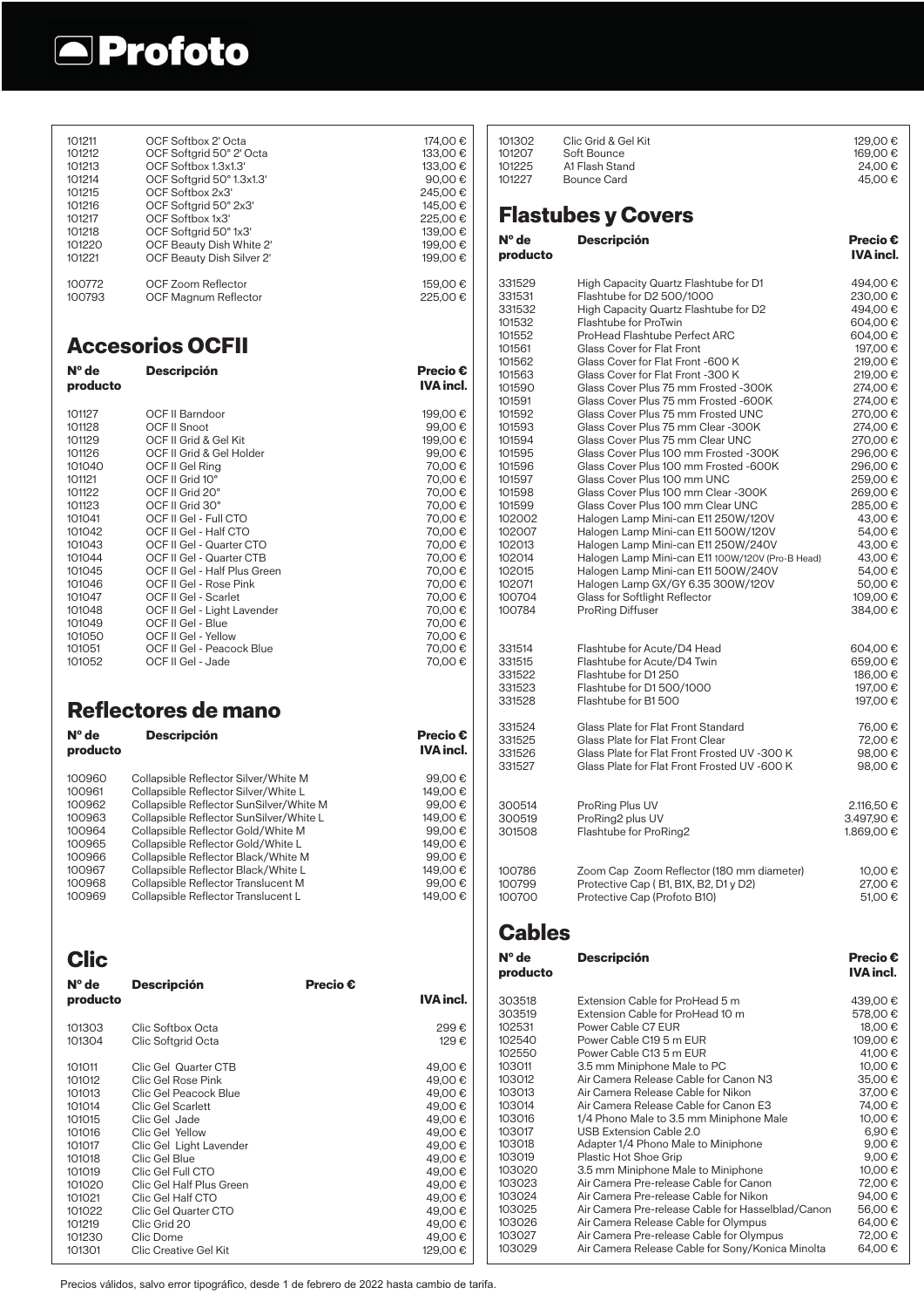

| 101211<br>101212<br>101213<br>101214<br>101215<br>101216<br>101217<br>101218<br>101220<br>101221 | OCF Softbox 2' Octa<br>OCF Softgrid 50° 2' Octa<br>OCF Softbox 1.3x1.3<br>OCF Softgrid 50° 1.3x1.3'<br>OCF Softbox 2x3'<br>OCF Softgrid 50° 2x3'<br>OCF Softbox 1x3'<br>OCF Softgrid 50°1x3'<br>OCF Beauty Dish White 2'<br>OCF Beauty Dish Silver 2' |                 | 174,00 €<br>133.00€<br>133,00 €<br>90,00€<br>245,00€<br>145,00 €<br>225.00€<br>139,00 €<br>199,00 €<br>199,00€ | 101302<br>101207<br>101225<br>101227<br>N° de<br>producto | Clic Grid & Gel Kit<br>Soft Bounce<br>A1 Flash Stand<br>Bounce Card<br><b>Flastubes y Covers</b><br><b>Descripción</b>                                                | 129,00 €<br>169,00€<br>24,00€<br>45,00€<br><b>Precio €</b><br><b>IVA incl.</b> |
|--------------------------------------------------------------------------------------------------|-------------------------------------------------------------------------------------------------------------------------------------------------------------------------------------------------------------------------------------------------------|-----------------|----------------------------------------------------------------------------------------------------------------|-----------------------------------------------------------|-----------------------------------------------------------------------------------------------------------------------------------------------------------------------|--------------------------------------------------------------------------------|
| 100772<br>100793                                                                                 | OCF Zoom Reflector<br>OCF Magnum Reflector                                                                                                                                                                                                            |                 | 159,00€<br>225,00€                                                                                             | 331529<br>331531<br>331532<br>101532<br>101552            | High Capacity Quartz Flashtube for D1<br>Flashtube for D2 500/1000<br>High Capacity Quartz Flashtube for D2<br>Flashtube for ProTwin<br>ProHead Flashtube Perfect ARC | 494,00 €<br>230,00€<br>494,00 €<br>604,00€<br>604,00€                          |
|                                                                                                  | <b>Accesorios OCFII</b>                                                                                                                                                                                                                               |                 |                                                                                                                | 101561                                                    | Glass Cover for Flat Front                                                                                                                                            | 197,00 €                                                                       |
| N° de<br>producto                                                                                | <b>Descripción</b>                                                                                                                                                                                                                                    |                 | <b>Precio €</b><br><b>IVA incl.</b>                                                                            | 101562<br>101563<br>101590<br>101591                      | Glass Cover for Flat Front -600 K<br>Glass Cover for Flat Front -300 K<br>Glass Cover Plus 75 mm Frosted -300K<br>Glass Cover Plus 75 mm Frosted -600K                | 219,00 €<br>219,00€<br>274,00 €<br>274,00 €                                    |
| 101127                                                                                           | OCF II Barndoor                                                                                                                                                                                                                                       |                 | 199,00€                                                                                                        | 101592                                                    | Glass Cover Plus 75 mm Frosted UNC                                                                                                                                    | 270,00 €                                                                       |
| 101128                                                                                           | OCF II Snoot                                                                                                                                                                                                                                          |                 | 99,00€                                                                                                         | 101593                                                    | Glass Cover Plus 75 mm Clear -300K                                                                                                                                    | 274,00 €                                                                       |
| 101129<br>101126                                                                                 | OCF II Grid & Gel Kit<br>OCF II Grid & Gel Holder                                                                                                                                                                                                     |                 | 199,00€<br>99,00€                                                                                              | 101594<br>101595                                          | Glass Cover Plus 75 mm Clear UNC<br>Glass Cover Plus 100 mm Frosted -300K                                                                                             | 270.00€<br>296,00€                                                             |
| 101040                                                                                           | OCF II Gel Ring                                                                                                                                                                                                                                       |                 | 70,00€                                                                                                         | 101596                                                    | Glass Cover Plus 100 mm Frosted -600K                                                                                                                                 | 296.00€                                                                        |
| 101121                                                                                           | OCF II Grid 10°                                                                                                                                                                                                                                       |                 | 70,00€                                                                                                         | 101597                                                    | Glass Cover Plus 100 mm UNC                                                                                                                                           | 259,00€                                                                        |
| 101122<br>101123                                                                                 | OCF II Grid 20°<br>OCF II Grid 30°                                                                                                                                                                                                                    |                 | 70,00€<br>70,00€                                                                                               | 101598<br>101599                                          | Glass Cover Plus 100 mm Clear - 300K<br>Glass Cover Plus 100 mm Clear UNC                                                                                             | 269,00€<br>285,00€                                                             |
| 101041                                                                                           | OCF II Gel - Full CTO                                                                                                                                                                                                                                 |                 | 70,00€                                                                                                         | 102002                                                    | Halogen Lamp Mini-can E11 250W/120V                                                                                                                                   | 43,00 €                                                                        |
| 101042                                                                                           | OCF II Gel - Half CTO                                                                                                                                                                                                                                 |                 | 70,00€                                                                                                         | 102007                                                    | Halogen Lamp Mini-can E11 500W/120V                                                                                                                                   | 54,00€                                                                         |
| 101043<br>101044                                                                                 | OCF II Gel - Quarter CTO                                                                                                                                                                                                                              |                 | 70,00€                                                                                                         | 102013<br>102014                                          | Halogen Lamp Mini-can E11 250W/240V<br>Halogen Lamp Mini-can E11 100W/120V (Pro-B Head)                                                                               | 43,00 €<br>43,00 €                                                             |
| 101045                                                                                           | OCF II Gel - Quarter CTB<br>OCF II Gel - Half Plus Green                                                                                                                                                                                              |                 | 70,00€<br>70,00€                                                                                               | 102015                                                    | Halogen Lamp Mini-can E11 500W/240V                                                                                                                                   | 54,00€                                                                         |
| 101046                                                                                           | OCF II Gel - Rose Pink                                                                                                                                                                                                                                |                 | 70,00€                                                                                                         | 102071                                                    | Halogen Lamp GX/GY 6.35 300W/120V                                                                                                                                     | 50,00€                                                                         |
| 101047<br>101048                                                                                 | OCF II Gel - Scarlet<br>OCF II Gel - Light Lavender                                                                                                                                                                                                   |                 | 70,00€<br>70,00€                                                                                               | 100704<br>100784                                          | Glass for Softlight Reflector<br>ProRing Diffuser                                                                                                                     | 109,00€<br>384,00 €                                                            |
| 101049                                                                                           | OCF II Gel - Blue                                                                                                                                                                                                                                     |                 | 70,00€                                                                                                         |                                                           |                                                                                                                                                                       |                                                                                |
| 101050                                                                                           | OCF II Gel - Yellow                                                                                                                                                                                                                                   |                 | 70,00€                                                                                                         |                                                           |                                                                                                                                                                       |                                                                                |
| 101051<br>101052                                                                                 | OCF II Gel - Peacock Blue<br>OCF II Gel - Jade                                                                                                                                                                                                        |                 | 70,00 €<br>70,00€                                                                                              | 331514<br>331515                                          | Flashtube for Acute/D4 Head<br>Flashtube for Acute/D4 Twin                                                                                                            | 604,00€<br>659,00€                                                             |
|                                                                                                  |                                                                                                                                                                                                                                                       |                 |                                                                                                                | 331522                                                    | Flashtube for D1 250                                                                                                                                                  | 186,00€                                                                        |
|                                                                                                  |                                                                                                                                                                                                                                                       |                 |                                                                                                                | 331523<br>331528                                          | Flashtube for D1 500/1000<br>Flashtube for B1500                                                                                                                      | 197,00 €<br>197,00 €                                                           |
|                                                                                                  | Reflectores de mano                                                                                                                                                                                                                                   |                 |                                                                                                                |                                                           |                                                                                                                                                                       |                                                                                |
|                                                                                                  |                                                                                                                                                                                                                                                       |                 |                                                                                                                |                                                           |                                                                                                                                                                       |                                                                                |
|                                                                                                  |                                                                                                                                                                                                                                                       |                 |                                                                                                                | 331524                                                    | Glass Plate for Flat Front Standard                                                                                                                                   | 76,00 €                                                                        |
| $N^{\circ}$ de<br>producto                                                                       | <b>Descripción</b>                                                                                                                                                                                                                                    |                 | <b>Precio €</b><br><b>IVA incl.</b>                                                                            | 331525                                                    | Glass Plate for Flat Front Clear                                                                                                                                      | 72,00€                                                                         |
|                                                                                                  |                                                                                                                                                                                                                                                       |                 |                                                                                                                | 331526<br>331527                                          | Glass Plate for Flat Front Frosted UV -300 K<br>Glass Plate for Flat Front Frosted UV -600 K                                                                          | 98,00€<br>98,00€                                                               |
| 100960                                                                                           | Collapsible Reflector Silver/White M                                                                                                                                                                                                                  |                 | 99,00€                                                                                                         |                                                           |                                                                                                                                                                       |                                                                                |
| 100961<br>100962                                                                                 | Collapsible Reflector Silver/White L<br>Collapsible Reflector SunSilver/White M                                                                                                                                                                       |                 | 149,00€<br>99,00€                                                                                              | 300514                                                    | ProRing Plus UV                                                                                                                                                       | 2.116,50 €                                                                     |
| 100963                                                                                           | Collapsible Reflector SunSilver/White L                                                                                                                                                                                                               |                 | 149,00€                                                                                                        | 300519                                                    | ProRing2 plus UV                                                                                                                                                      | 3.497,90 €                                                                     |
| 100964                                                                                           | Collapsible Reflector Gold/White M                                                                                                                                                                                                                    |                 | 99,00€                                                                                                         | 301508                                                    | Flashtube for ProRing2                                                                                                                                                | 1.869,00 €                                                                     |
| 100965<br>100966                                                                                 | Collapsible Reflector Gold/White L<br>Collapsible Reflector Black/White M                                                                                                                                                                             |                 | 149,00 €<br>99,00€                                                                                             |                                                           |                                                                                                                                                                       |                                                                                |
| 100967                                                                                           | Collapsible Reflector Black/White L                                                                                                                                                                                                                   |                 | 149,00 €                                                                                                       | 100786                                                    | Zoom Cap Zoom Reflector (180 mm diameter)                                                                                                                             | 10,00 €                                                                        |
| 100968                                                                                           | Collapsible Reflector Translucent M                                                                                                                                                                                                                   |                 | 99,00€                                                                                                         | 100799                                                    | Protective Cap (B1, B1X, B2, D1 y D2)                                                                                                                                 | 27,00€                                                                         |
| 100969                                                                                           | Collapsible Reflector Translucent L                                                                                                                                                                                                                   |                 | 149,00 €                                                                                                       | 100700                                                    | Protective Cap (Profoto B10)                                                                                                                                          | 51,00€                                                                         |
|                                                                                                  |                                                                                                                                                                                                                                                       |                 |                                                                                                                | <b>Cables</b>                                             |                                                                                                                                                                       |                                                                                |
| <b>Clic</b>                                                                                      |                                                                                                                                                                                                                                                       |                 |                                                                                                                | N° de<br>producto                                         | <b>Descripción</b>                                                                                                                                                    | <b>Precio €</b><br><b>IVA incl.</b>                                            |
| $N^{\circ}$ de<br>producto                                                                       | <b>Descripción</b>                                                                                                                                                                                                                                    | <b>Precio €</b> | <b>IVA incl.</b>                                                                                               |                                                           |                                                                                                                                                                       |                                                                                |
|                                                                                                  |                                                                                                                                                                                                                                                       |                 |                                                                                                                | 303518<br>303519                                          | Extension Cable for ProHead 5 m<br>Extension Cable for ProHead 10 m                                                                                                   | 439,00€<br>578,00 €                                                            |
| 101303                                                                                           | Clic Softbox Octa                                                                                                                                                                                                                                     |                 | 299€                                                                                                           | 102531                                                    | Power Cable C7 EUR                                                                                                                                                    | 18,00€                                                                         |
| 101304                                                                                           | Clic Softgrid Octa                                                                                                                                                                                                                                    |                 | 129€                                                                                                           | 102540                                                    | Power Cable C19 5 m EUR                                                                                                                                               | 109,00€                                                                        |
| 101011                                                                                           | Clic Gel Quarter CTB                                                                                                                                                                                                                                  |                 | 49,00€                                                                                                         | 102550<br>103011                                          | Power Cable C13 5 m EUR<br>3.5 mm Miniphone Male to PC                                                                                                                | 41,00 €<br>10,00 €                                                             |
| 101012                                                                                           | Clic Gel Rose Pink                                                                                                                                                                                                                                    |                 | 49,00€                                                                                                         | 103012                                                    | Air Camera Release Cable for Canon N3                                                                                                                                 | 35,00€                                                                         |
| 101013                                                                                           | Clic Gel Peacock Blue                                                                                                                                                                                                                                 |                 | 49,00€                                                                                                         | 103013<br>103014                                          | Air Camera Release Cable for Nikon<br>Air Camera Release Cable for Canon E3                                                                                           | 37,00€<br>74,00 €                                                              |
| 101014<br>101015                                                                                 | Clic Gel Scarlett<br>Clic Gel Jade                                                                                                                                                                                                                    |                 | 49,00€<br>49,00€                                                                                               | 103016                                                    | 1/4 Phono Male to 3.5 mm Miniphone Male                                                                                                                               | 10,00€                                                                         |
| 101016                                                                                           | Clic Gel Yellow                                                                                                                                                                                                                                       |                 | 49,00€                                                                                                         | 103017                                                    | USB Extension Cable 2.0                                                                                                                                               | 6,90€                                                                          |
| 101017                                                                                           | Clic Gel Light Lavender                                                                                                                                                                                                                               |                 | 49,00€                                                                                                         | 103018<br>103019                                          | Adapter 1/4 Phono Male to Miniphone<br>Plastic Hot Shoe Grip                                                                                                          | 9,00€<br>9,00€                                                                 |
| 101018<br>101019                                                                                 | Clic Gel Blue<br>Clic Gel Full CTO                                                                                                                                                                                                                    |                 | 49,00€<br>49,00€                                                                                               | 103020                                                    | 3.5 mm Miniphone Male to Miniphone                                                                                                                                    | 10,00€                                                                         |
| 101020                                                                                           | Clic Gel Half Plus Green                                                                                                                                                                                                                              |                 | 49,00€                                                                                                         | 103023                                                    | Air Camera Pre-release Cable for Canon                                                                                                                                | 72,00€                                                                         |
| 101021                                                                                           | Clic Gel Half CTO                                                                                                                                                                                                                                     |                 | 49,00€                                                                                                         | 103024                                                    | Air Camera Pre-release Cable for Nikon                                                                                                                                | 94,00€                                                                         |
| 101022<br>101219                                                                                 | Clic Gel Quarter CTO<br>Clic Grid 20                                                                                                                                                                                                                  |                 | 49,00€<br>49,00€                                                                                               | 103025<br>103026                                          | Air Camera Pre-release Cable for Hasselblad/Canon<br>Air Camera Release Cable for Olympus                                                                             | 56,00€<br>64,00€                                                               |
| 101230<br>101301                                                                                 | Clic Dome<br>Clic Creative Gel Kit                                                                                                                                                                                                                    |                 | 49,00€<br>129,00 €                                                                                             | 103027<br>103029                                          | Air Camera Pre-release Cable for Olympus<br>Air Camera Release Cable for Sony/Konica Minolta                                                                          | 72,00 €<br>64,00€                                                              |

Precios válidos, salvo error tipográfico, desde 1 de febrero de 2022 hasta cambio de tarifa.